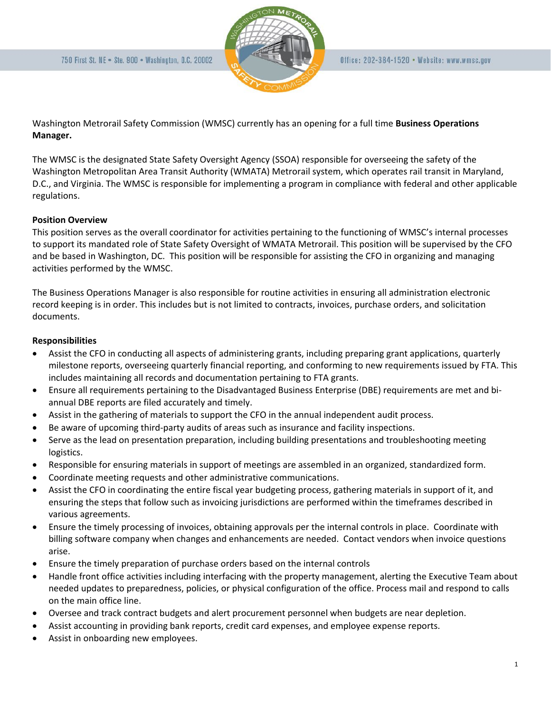

Washington Metrorail Safety Commission (WMSC) currently has an opening for a full time **Business Operations Manager.** 

The WMSC is the designated State Safety Oversight Agency (SSOA) responsible for overseeing the safety of the Washington Metropolitan Area Transit Authority (WMATA) Metrorail system, which operates rail transit in Maryland, D.C., and Virginia. The WMSC is responsible for implementing a program in compliance with federal and other applicable regulations.

# **Position Overview**

This position serves as the overall coordinator for activities pertaining to the functioning of WMSC's internal processes to support its mandated role of State Safety Oversight of WMATA Metrorail. This position will be supervised by the CFO and be based in Washington, DC. This position will be responsible for assisting the CFO in organizing and managing activities performed by the WMSC.

The Business Operations Manager is also responsible for routine activities in ensuring all administration electronic record keeping is in order. This includes but is not limited to contracts, invoices, purchase orders, and solicitation documents.

## **Responsibilities**

- Assist the CFO in conducting all aspects of administering grants, including preparing grant applications, quarterly milestone reports, overseeing quarterly financial reporting, and conforming to new requirements issued by FTA. This includes maintaining all records and documentation pertaining to FTA grants.
- Ensure all requirements pertaining to the Disadvantaged Business Enterprise (DBE) requirements are met and biannual DBE reports are filed accurately and timely.
- Assist in the gathering of materials to support the CFO in the annual independent audit process.
- Be aware of upcoming third-party audits of areas such as insurance and facility inspections.
- Serve as the lead on presentation preparation, including building presentations and troubleshooting meeting logistics.
- Responsible for ensuring materials in support of meetings are assembled in an organized, standardized form.
- Coordinate meeting requests and other administrative communications.
- Assist the CFO in coordinating the entire fiscal year budgeting process, gathering materials in support of it, and ensuring the steps that follow such as invoicing jurisdictions are performed within the timeframes described in various agreements.
- Ensure the timely processing of invoices, obtaining approvals per the internal controls in place. Coordinate with billing software company when changes and enhancements are needed. Contact vendors when invoice questions arise.
- Ensure the timely preparation of purchase orders based on the internal controls
- Handle front office activities including interfacing with the property management, alerting the Executive Team about needed updates to preparedness, policies, or physical configuration of the office. Process mail and respond to calls on the main office line.
- Oversee and track contract budgets and alert procurement personnel when budgets are near depletion.
- Assist accounting in providing bank reports, credit card expenses, and employee expense reports.
- Assist in onboarding new employees.